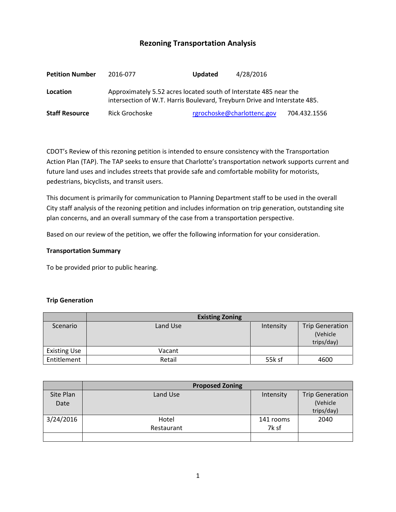# **Rezoning Transportation Analysis**

| <b>Petition Number</b> | 2016-077                                                                                                                                       | <b>Updated</b> | 4/28/2016                  |              |  |
|------------------------|------------------------------------------------------------------------------------------------------------------------------------------------|----------------|----------------------------|--------------|--|
| Location               | Approximately 5.52 acres located south of Interstate 485 near the<br>intersection of W.T. Harris Boulevard, Treyburn Drive and Interstate 485. |                |                            |              |  |
| <b>Staff Resource</b>  | Rick Grochoske                                                                                                                                 |                | rgrochoske@charlottenc.gov | 704.432.1556 |  |

CDOT's Review of this rezoning petition is intended to ensure consistency with the Transportation Action Plan (TAP). The TAP seeks to ensure that Charlotte's transportation network supports current and future land uses and includes streets that provide safe and comfortable mobility for motorists, pedestrians, bicyclists, and transit users.

This document is primarily for communication to Planning Department staff to be used in the overall City staff analysis of the rezoning petition and includes information on trip generation, outstanding site plan concerns, and an overall summary of the case from a transportation perspective.

Based on our review of the petition, we offer the following information for your consideration.

#### **Transportation Summary**

To be provided prior to public hearing.

### **Trip Generation**

|                     | <b>Existing Zoning</b> |           |                                                   |
|---------------------|------------------------|-----------|---------------------------------------------------|
| Scenario            | Land Use               | Intensity | <b>Trip Generation</b><br>(Vehicle)<br>trips/day) |
| <b>Existing Use</b> | Vacant                 |           |                                                   |
| Entitlement         | Retail                 | 55k sf    | 4600                                              |

|           | <b>Proposed Zoning</b> |           |                        |
|-----------|------------------------|-----------|------------------------|
| Site Plan | Land Use               | Intensity | <b>Trip Generation</b> |
| Date      |                        |           | (Vehicle               |
|           |                        |           | trips/day)             |
| 3/24/2016 | Hotel                  | 141 rooms | 2040                   |
|           | Restaurant             | 7k sf     |                        |
|           |                        |           |                        |